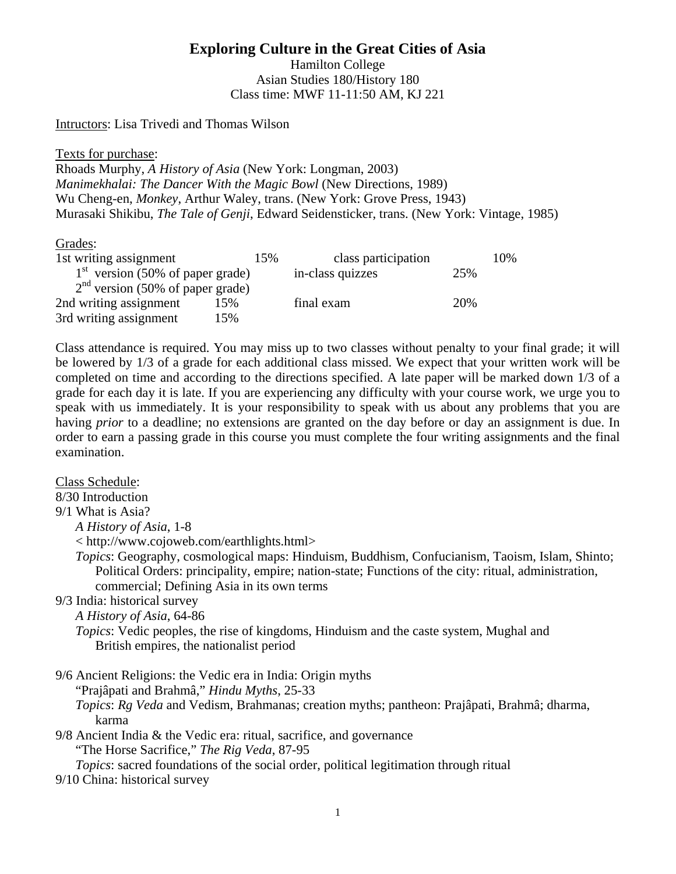**Exploring Culture in the Great Cities of Asia** 

Hamilton College Asian Studies 180/History 180 Class time: MWF 11-11:50 AM, KJ 221

Intructors: Lisa Trivedi and Thomas Wilson

Texts for purchase:

Rhoads Murphy, *A History of Asia* (New York: Longman, 2003) *Manimekhalai: The Dancer With the Magic Bowl* (New Directions, 1989) Wu Cheng-en, *Monkey*, Arthur Waley, trans. (New York: Grove Press, 1943) Murasaki Shikibu, *The Tale of Genji*, Edward Seidensticker, trans. (New York: Vintage, 1985)

### Grades:

| 1st writing assignment             | 15% | class participation |     | 10% |
|------------------------------------|-----|---------------------|-----|-----|
| $1st$ version (50% of paper grade) |     | in-class quizzes    | 25% |     |
| $2nd$ version (50% of paper grade) |     |                     |     |     |
| 2nd writing assignment             | 15% | final exam          | 20% |     |
| 3rd writing assignment             | 15% |                     |     |     |

Class attendance is required. You may miss up to two classes without penalty to your final grade; it will be lowered by 1/3 of a grade for each additional class missed. We expect that your written work will be completed on time and according to the directions specified. A late paper will be marked down 1/3 of a grade for each day it is late. If you are experiencing any difficulty with your course work, we urge you to speak with us immediately. It is your responsibility to speak with us about any problems that you are having *prior* to a deadline; no extensions are granted on the day before or day an assignment is due. In order to earn a passing grade in this course you must complete the four writing assignments and the final examination.

Class Schedule:

8/30 Introduction

9/1 What is Asia?

*A History of Asia*, 1-8

< http://www.cojoweb.com/earthlights.html>

*Topics*: Geography, cosmological maps: Hinduism, Buddhism, Confucianism, Taoism, Islam, Shinto; Political Orders: principality, empire; nation-state; Functions of the city: ritual, administration, commercial; Defining Asia in its own terms

# 9/3 India: historical survey

*A History of Asia*, 64-86

*Topics*: Vedic peoples, the rise of kingdoms, Hinduism and the caste system, Mughal and British empires, the nationalist period

9/6 Ancient Religions: the Vedic era in India: Origin myths

"Prajâpati and Brahmâ," *Hindu Myths*, 25-33

*Topics*: *Rg Veda* and Vedism, Brahmanas; creation myths; pantheon: Prajâpati, Brahmâ; dharma, karma

9/8 Ancient India & the Vedic era: ritual, sacrifice, and governance "The Horse Sacrifice," *The Rig Veda*, 87-95 *Topics*: sacred foundations of the social order, political legitimation through ritual

9/10 China: historical survey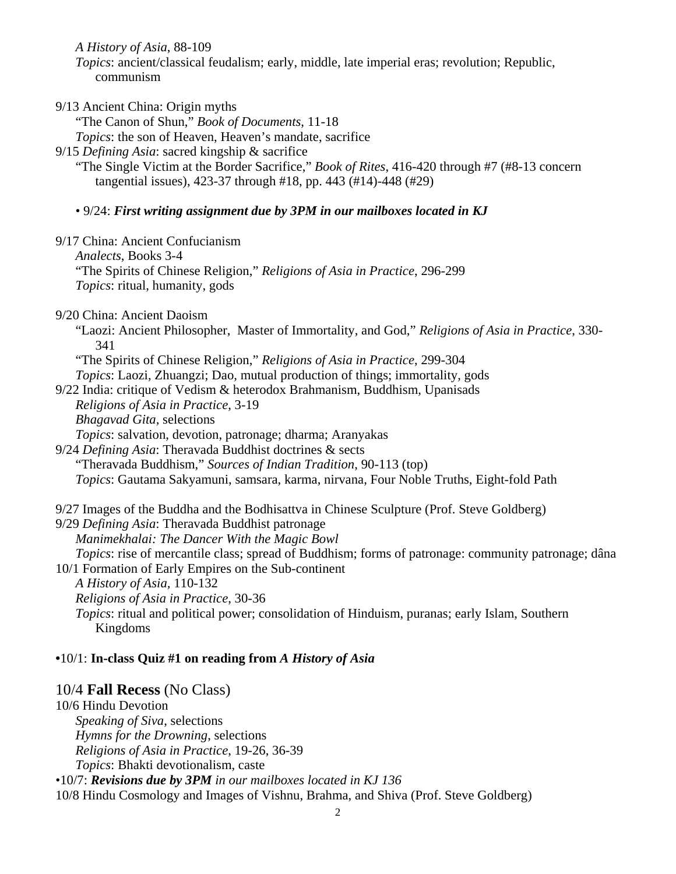*A History of Asia*, 88-109

*Topics*: ancient/classical feudalism; early, middle, late imperial eras; revolution; Republic, communism

9/13 Ancient China: Origin myths

"The Canon of Shun," *Book of Documents*, 11-18

*Topics*: the son of Heaven, Heaven's mandate, sacrifice

9/15 *Defining Asia*: sacred kingship & sacrifice

"The Single Victim at the Border Sacrifice," *Book of Rites*, 416-420 through #7 (#8-13 concern tangential issues), 423-37 through #18, pp. 443 (#14)-448 (#29)

#### • 9/24: *First writing assignment due by 3PM in our mailboxes located in KJ*

9/17 China: Ancient Confucianism

*Analects*, Books 3-4

"The Spirits of Chinese Religion," *Religions of Asia in Practice*, 296-299 *Topics*: ritual, humanity, gods

9/20 China: Ancient Daoism

"Laozi: Ancient Philosopher, Master of Immortality, and God," *Religions of Asia in Practice*, 330- 341

"The Spirits of Chinese Religion," *Religions of Asia in Practice*, 299-304 *Topics*: Laozi, Zhuangzi; Dao, mutual production of things; immortality, gods

9/22 India: critique of Vedism & heterodox Brahmanism, Buddhism, Upanisads

- *Religions of Asia in Practice*, 3-19
	- *Bhagavad Gita,* selections

*Topics*: salvation, devotion, patronage; dharma; Aranyakas

9/24 *Defining Asia*: Theravada Buddhist doctrines & sects

"Theravada Buddhism," *Sources of Indian Tradition*, 90-113 (top)

*Topics*: Gautama Sakyamuni, samsara, karma, nirvana, Four Noble Truths, Eight-fold Path

9/27 Images of the Buddha and the Bodhisattva in Chinese Sculpture (Prof. Steve Goldberg)

9/29 *Defining Asia*: Theravada Buddhist patronage *Manimekhalai: The Dancer With the Magic Bowl* 

*Topics*: rise of mercantile class; spread of Buddhism; forms of patronage: community patronage; dâna

10/1 Formation of Early Empires on the Sub-continent

- *A History of Asia,* 110-132
- *Religions of Asia in Practice*, 30-36

*Topics*: ritual and political power; consolidation of Hinduism, puranas; early Islam, Southern Kingdoms

### **•**10/1: **In-class Quiz #1 on reading from** *A History of Asia*

# 10/4 **Fall Recess** (No Class)

10/6 Hindu Devotion *Speaking of Siva*, selections *Hymns for the Drowning*, selections *Religions of Asia in Practice*, 19-26, 36-39 *Topics*: Bhakti devotionalism, caste

•10/7: *Revisions due by 3PM in our mailboxes located in KJ 136*

10/8 Hindu Cosmology and Images of Vishnu, Brahma, and Shiva (Prof. Steve Goldberg)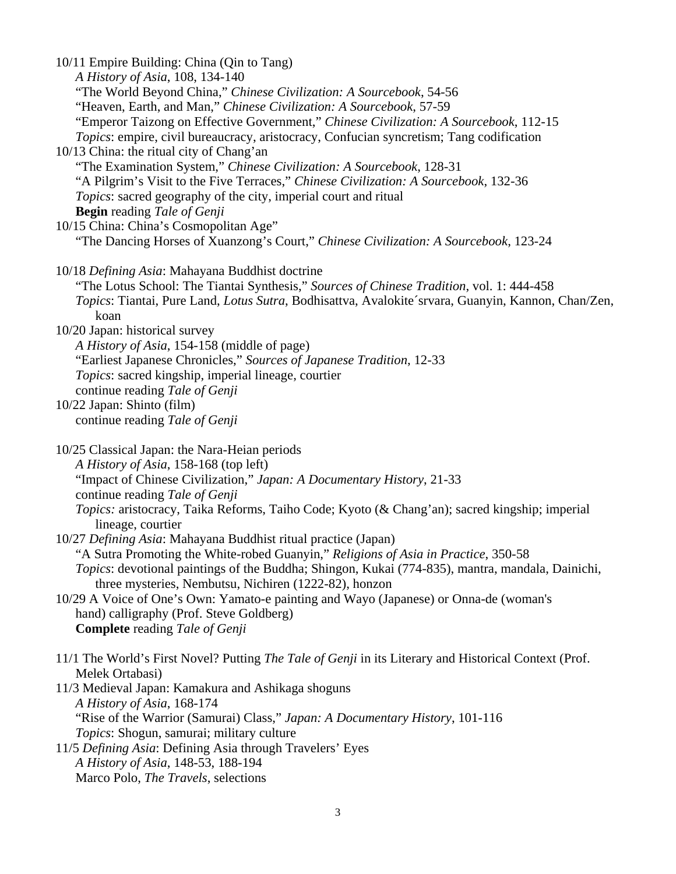| 10/11 Empire Building: China (Qin to Tang)                                                            |
|-------------------------------------------------------------------------------------------------------|
| A History of Asia, 108, 134-140                                                                       |
| "The World Beyond China," Chinese Civilization: A Sourcebook, 54-56                                   |
| "Heaven, Earth, and Man," Chinese Civilization: A Sourcebook, 57-59                                   |
| "Emperor Taizong on Effective Government," Chinese Civilization: A Sourcebook, 112-15                 |
| Topics: empire, civil bureaucracy, aristocracy, Confucian syncretism; Tang codification               |
| 10/13 China: the ritual city of Chang'an                                                              |
|                                                                                                       |
| "The Examination System," Chinese Civilization: A Sourcebook, 128-31                                  |
| "A Pilgrim's Visit to the Five Terraces," Chinese Civilization: A Sourcebook, 132-36                  |
| Topics: sacred geography of the city, imperial court and ritual                                       |
| <b>Begin</b> reading Tale of Genji                                                                    |
| 10/15 China: China's Cosmopolitan Age"                                                                |
| "The Dancing Horses of Xuanzong's Court," Chinese Civilization: A Sourcebook, 123-24                  |
| 10/18 Defining Asia: Mahayana Buddhist doctrine                                                       |
| "The Lotus School: The Tiantai Synthesis," Sources of Chinese Tradition, vol. 1: 444-458              |
| Topics: Tiantai, Pure Land, Lotus Sutra, Bodhisattva, Avalokite'srvara, Guanyin, Kannon, Chan/Zen,    |
| koan                                                                                                  |
| 10/20 Japan: historical survey                                                                        |
| A History of Asia, 154-158 (middle of page)                                                           |
| "Earliest Japanese Chronicles," Sources of Japanese Tradition, 12-33                                  |
| Topics: sacred kingship, imperial lineage, courtier                                                   |
| continue reading Tale of Genji                                                                        |
| 10/22 Japan: Shinto (film)                                                                            |
| continue reading Tale of Genji                                                                        |
|                                                                                                       |
| 10/25 Classical Japan: the Nara-Heian periods                                                         |
| A History of Asia, 158-168 (top left)                                                                 |
| "Impact of Chinese Civilization," Japan: A Documentary History, 21-33                                 |
| continue reading Tale of Genji                                                                        |
| Topics: aristocracy, Taika Reforms, Taiho Code; Kyoto (& Chang'an); sacred kingship; imperial         |
| lineage, courtier                                                                                     |
| 10/27 Defining Asia: Mahayana Buddhist ritual practice (Japan)                                        |
| "A Sutra Promoting the White-robed Guanyin," Religions of Asia in Practice, 350-58                    |
| Topics: devotional paintings of the Buddha; Shingon, Kukai (774-835), mantra, mandala, Dainichi,      |
| three mysteries, Nembutsu, Nichiren (1222-82), honzon                                                 |
| 10/29 A Voice of One's Own: Yamato-e painting and Wayo (Japanese) or Onna-de (woman's                 |
|                                                                                                       |
| hand) calligraphy (Prof. Steve Goldberg)                                                              |
| <b>Complete</b> reading Tale of Genji                                                                 |
| 11/1 The World's First Novel? Putting The Tale of Genji in its Literary and Historical Context (Prof. |
| Melek Ortabasi)                                                                                       |
| 11/3 Medieval Japan: Kamakura and Ashikaga shoguns                                                    |
| A History of Asia, 168-174                                                                            |
| "Rise of the Warrior (Samurai) Class," Japan: A Documentary History, 101-116                          |
| Topics: Shogun, samurai; military culture                                                             |
| 11/5 Defining Asia: Defining Asia through Travelers' Eyes                                             |
| A History of Asia, 148-53, 188-194                                                                    |
| Marco Polo, The Travels, selections                                                                   |
|                                                                                                       |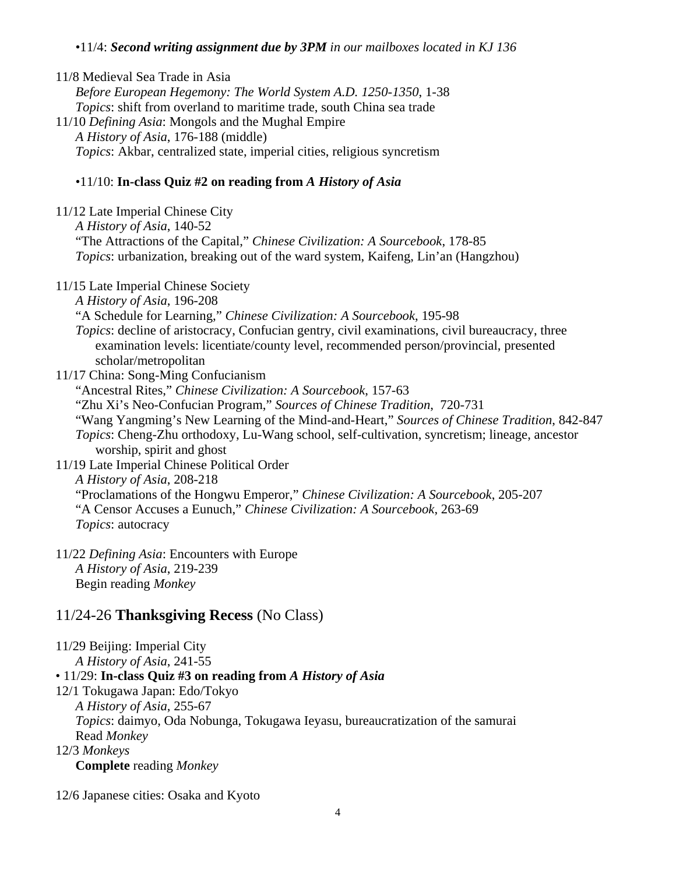## •11/4: *Second writing assignment due by 3PM in our mailboxes located in KJ 136*

11/8 Medieval Sea Trade in Asia *Before European Hegemony: The World System A.D. 1250-1350*, 1-38 *Topics*: shift from overland to maritime trade, south China sea trade 11/10 *Defining Asia*: Mongols and the Mughal Empire *A History of Asia*, 176-188 (middle) *Topics*: Akbar, centralized state, imperial cities, religious syncretism

## •11/10: **In-class Quiz #2 on reading from** *A History of Asia*

| 11/12 Late Imperial Chinese City<br>A History of Asia, 140-52<br>"The Attractions of the Capital," Chinese Civilization: A Sourcebook, 178-85<br><i>Topics:</i> urbanization, breaking out of the ward system, Kaifeng, Lin'an (Hangzhou) |
|-------------------------------------------------------------------------------------------------------------------------------------------------------------------------------------------------------------------------------------------|
| 11/15 Late Imperial Chinese Society                                                                                                                                                                                                       |
| A History of Asia, 196-208                                                                                                                                                                                                                |
| "A Schedule for Learning," Chinese Civilization: A Sourcebook, 195-98                                                                                                                                                                     |
| Topics: decline of aristocracy, Confucian gentry, civil examinations, civil bureaucracy, three<br>examination levels: licentiate/county level, recommended person/provincial, presented<br>scholar/metropolitan                           |
| 11/17 China: Song-Ming Confucianism                                                                                                                                                                                                       |
| "Ancestral Rites," Chinese Civilization: A Sourcebook, 157-63                                                                                                                                                                             |
| "Zhu Xi's Neo-Confucian Program," Sources of Chinese Tradition, 720-731                                                                                                                                                                   |
| "Wang Yangming's New Learning of the Mind-and-Heart," Sources of Chinese Tradition, 842-847                                                                                                                                               |
| <i>Topics:</i> Cheng-Zhu orthodoxy, Lu-Wang school, self-cultivation, syncretism; lineage, ancestor<br>worship, spirit and ghost                                                                                                          |
| 11/19 Late Imperial Chinese Political Order                                                                                                                                                                                               |
| A History of Asia, 208-218                                                                                                                                                                                                                |
| "Proclamations of the Hongwu Emperor," Chinese Civilization: A Sourcebook, 205-207                                                                                                                                                        |
| "A Censor Accuses a Eunuch," Chinese Civilization: A Sourcebook, 263-69                                                                                                                                                                   |
| Topics: autocracy                                                                                                                                                                                                                         |
| 11/22 Defining Asia: Encounters with Europe<br>A History of Asia, 219-239                                                                                                                                                                 |

Begin reading *Monkey*

# 11/24-26 **Thanksgiving Recess** (No Class)

11/29 Beijing: Imperial City *A History of Asia*, 241-55 • 11/29: **In-class Quiz #3 on reading from** *A History of Asia* 12/1 Tokugawa Japan: Edo/Tokyo *A History of Asia*, 255-67 *Topics*: daimyo, Oda Nobunga, Tokugawa Ieyasu, bureaucratization of the samurai Read *Monkey* 12/3 *Monkeys*

**Complete** reading *Monkey*

12/6 Japanese cities: Osaka and Kyoto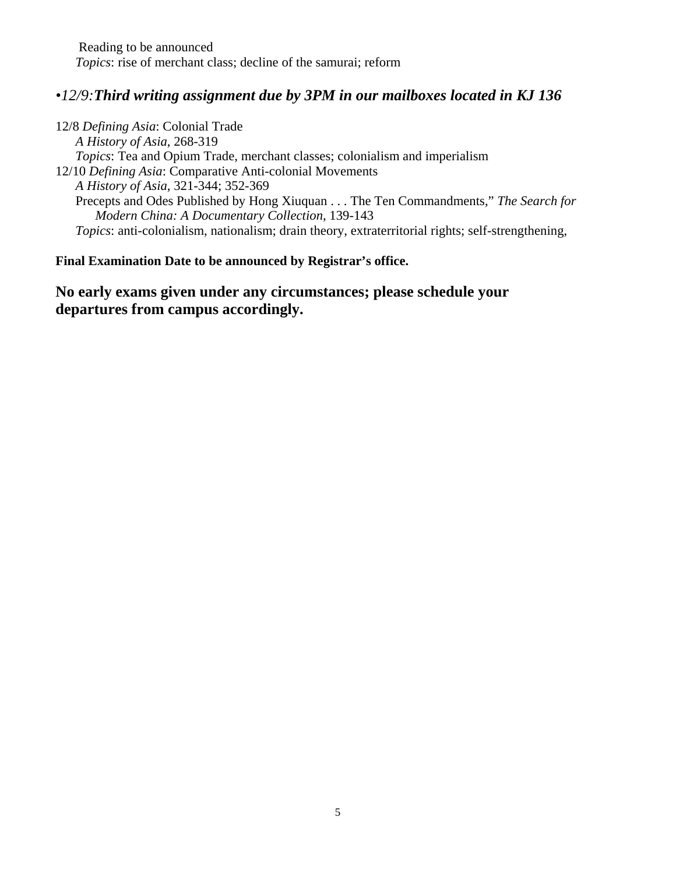Reading to be announced *Topics*: rise of merchant class; decline of the samurai; reform

# *•12/9:Third writing assignment due by 3PM in our mailboxes located in KJ 136*

12/8 *Defining Asia*: Colonial Trade *A History of Asia*, 268-319 *Topics*: Tea and Opium Trade, merchant classes; colonialism and imperialism 12/10 *Defining Asia*: Comparative Anti-colonial Movements *A History of Asia*, 321-344; 352-369 Precepts and Odes Published by Hong Xiuquan . . . The Ten Commandments," *The Search for Modern China: A Documentary Collection*, 139-143 *Topics*: anti-colonialism, nationalism; drain theory, extraterritorial rights; self-strengthening,

## **Final Examination Date to be announced by Registrar's office.**

**No early exams given under any circumstances; please schedule your departures from campus accordingly.**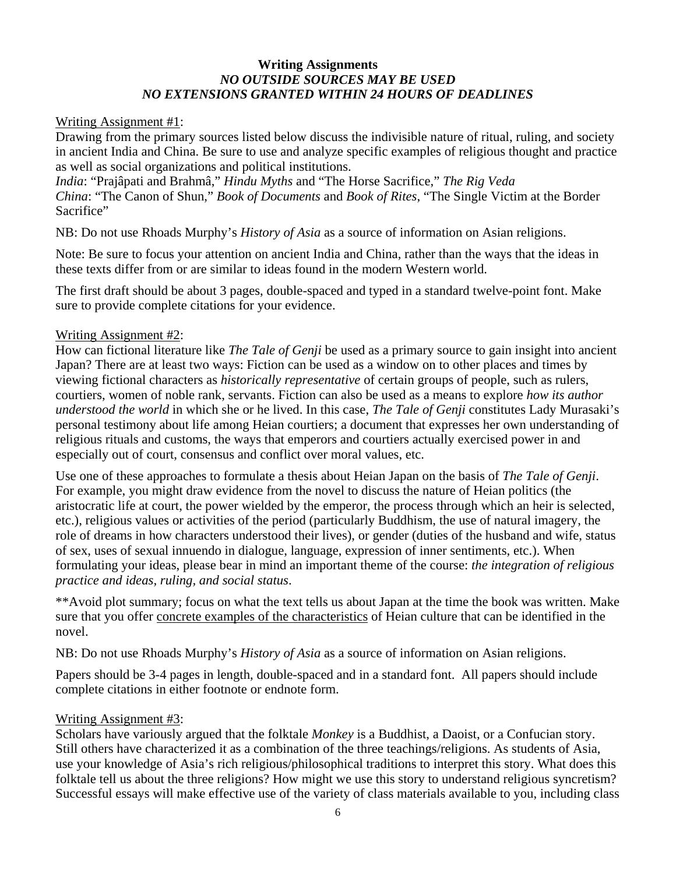## **Writing Assignments** *NO OUTSIDE SOURCES MAY BE USED NO EXTENSIONS GRANTED WITHIN 24 HOURS OF DEADLINES*

### Writing Assignment #1:

Drawing from the primary sources listed below discuss the indivisible nature of ritual, ruling, and society in ancient India and China. Be sure to use and analyze specific examples of religious thought and practice as well as social organizations and political institutions.

*India*: "Prajâpati and Brahmâ," *Hindu Myths* and "The Horse Sacrifice," *The Rig Veda China*: "The Canon of Shun," *Book of Documents* and *Book of Rites*, "The Single Victim at the Border Sacrifice"

NB: Do not use Rhoads Murphy's *History of Asia* as a source of information on Asian religions.

Note: Be sure to focus your attention on ancient India and China, rather than the ways that the ideas in these texts differ from or are similar to ideas found in the modern Western world.

The first draft should be about 3 pages, double-spaced and typed in a standard twelve-point font. Make sure to provide complete citations for your evidence.

## Writing Assignment #2:

How can fictional literature like *The Tale of Genji* be used as a primary source to gain insight into ancient Japan? There are at least two ways: Fiction can be used as a window on to other places and times by viewing fictional characters as *historically representative* of certain groups of people, such as rulers, courtiers, women of noble rank, servants. Fiction can also be used as a means to explore *how its author understood the world* in which she or he lived. In this case, *The Tale of Genji* constitutes Lady Murasaki's personal testimony about life among Heian courtiers; a document that expresses her own understanding of religious rituals and customs, the ways that emperors and courtiers actually exercised power in and especially out of court, consensus and conflict over moral values, etc.

Use one of these approaches to formulate a thesis about Heian Japan on the basis of *The Tale of Genji*. For example, you might draw evidence from the novel to discuss the nature of Heian politics (the aristocratic life at court, the power wielded by the emperor, the process through which an heir is selected, etc.), religious values or activities of the period (particularly Buddhism, the use of natural imagery, the role of dreams in how characters understood their lives), or gender (duties of the husband and wife, status of sex, uses of sexual innuendo in dialogue, language, expression of inner sentiments, etc.). When formulating your ideas, please bear in mind an important theme of the course: *the integration of religious practice and ideas, ruling, and social status*.

\*\*Avoid plot summary; focus on what the text tells us about Japan at the time the book was written. Make sure that you offer concrete examples of the characteristics of Heian culture that can be identified in the novel.

NB: Do not use Rhoads Murphy's *History of Asia* as a source of information on Asian religions.

Papers should be 3-4 pages in length, double-spaced and in a standard font. All papers should include complete citations in either footnote or endnote form.

### Writing Assignment #3:

Scholars have variously argued that the folktale *Monkey* is a Buddhist, a Daoist, or a Confucian story. Still others have characterized it as a combination of the three teachings/religions. As students of Asia, use your knowledge of Asia's rich religious/philosophical traditions to interpret this story. What does this folktale tell us about the three religions? How might we use this story to understand religious syncretism? Successful essays will make effective use of the variety of class materials available to you, including class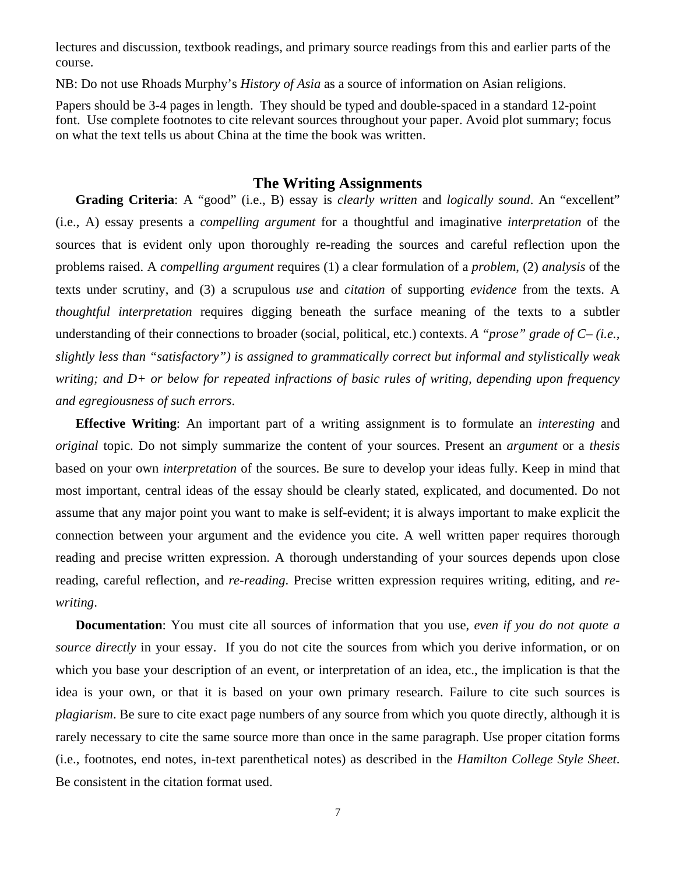lectures and discussion, textbook readings, and primary source readings from this and earlier parts of the course.

NB: Do not use Rhoads Murphy's *History of Asia* as a source of information on Asian religions.

Papers should be 3-4 pages in length. They should be typed and double-spaced in a standard 12-point font. Use complete footnotes to cite relevant sources throughout your paper. Avoid plot summary; focus on what the text tells us about China at the time the book was written.

# **The Writing Assignments**

**Grading Criteria**: A "good" (i.e., B) essay is *clearly written* and *logically sound*. An "excellent" (i.e., A) essay presents a *compelling argument* for a thoughtful and imaginative *interpretation* of the sources that is evident only upon thoroughly re-reading the sources and careful reflection upon the problems raised. A *compelling argument* requires (1) a clear formulation of a *problem*, (2) *analysis* of the texts under scrutiny, and (3) a scrupulous *use* and *citation* of supporting *evidence* from the texts. A *thoughtful interpretation* requires digging beneath the surface meaning of the texts to a subtler understanding of their connections to broader (social, political, etc.) contexts. *A "prose" grade of C– (i.e.*, *slightly less than "satisfactory") is assigned to grammatically correct but informal and stylistically weak writing; and D+ or below for repeated infractions of basic rules of writing, depending upon frequency and egregiousness of such errors*.

**Effective Writing**: An important part of a writing assignment is to formulate an *interesting* and *original* topic. Do not simply summarize the content of your sources. Present an *argument* or a *thesis* based on your own *interpretation* of the sources. Be sure to develop your ideas fully. Keep in mind that most important, central ideas of the essay should be clearly stated, explicated, and documented. Do not assume that any major point you want to make is self-evident; it is always important to make explicit the connection between your argument and the evidence you cite. A well written paper requires thorough reading and precise written expression. A thorough understanding of your sources depends upon close reading, careful reflection, and *re-reading*. Precise written expression requires writing, editing, and *rewriting*.

**Documentation**: You must cite all sources of information that you use, *even if you do not quote a source directly* in your essay. If you do not cite the sources from which you derive information, or on which you base your description of an event, or interpretation of an idea, etc., the implication is that the idea is your own, or that it is based on your own primary research. Failure to cite such sources is *plagiarism*. Be sure to cite exact page numbers of any source from which you quote directly, although it is rarely necessary to cite the same source more than once in the same paragraph. Use proper citation forms (i.e., footnotes, end notes, in-text parenthetical notes) as described in the *Hamilton College Style Sheet*. Be consistent in the citation format used.